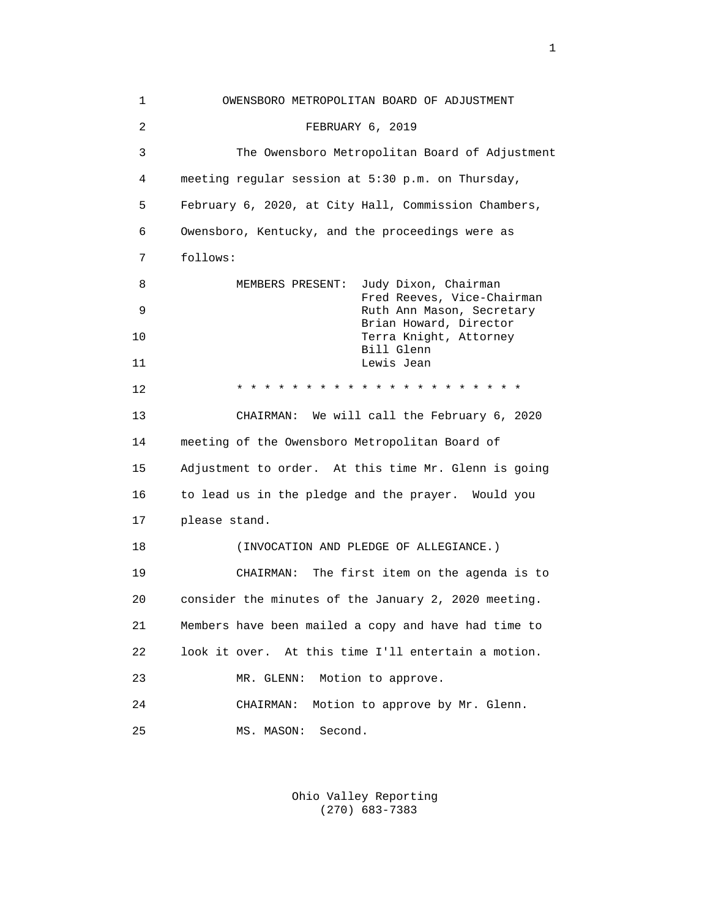| 1              | OWENSBORO METROPOLITAN BOARD OF ADJUSTMENT                     |
|----------------|----------------------------------------------------------------|
| $\overline{a}$ | FEBRUARY 6, 2019                                               |
| 3              | The Owensboro Metropolitan Board of Adjustment                 |
| 4              | meeting regular session at 5:30 p.m. on Thursday,              |
| 5              | February 6, 2020, at City Hall, Commission Chambers,           |
| 6              | Owensboro, Kentucky, and the proceedings were as               |
| 7              | follows:                                                       |
| 8              | Judy Dixon, Chairman<br>MEMBERS PRESENT:                       |
| 9              | Fred Reeves, Vice-Chairman<br>Ruth Ann Mason, Secretary        |
| 10             | Brian Howard, Director<br>Terra Knight, Attorney<br>Bill Glenn |
| 11             | Lewis Jean                                                     |
| 12             | * * * * * * * * * * * * * * * *                                |
| 13             | CHAIRMAN: We will call the February 6, 2020                    |
| 14             | meeting of the Owensboro Metropolitan Board of                 |
| 15             | Adjustment to order. At this time Mr. Glenn is going           |
| 16             | to lead us in the pledge and the prayer. Would you             |
| 17             | please stand.                                                  |
| 18             | (INVOCATION AND PLEDGE OF ALLEGIANCE.)                         |
| 19             | CHAIRMAN: The first item on the agenda is to                   |
| 20             | consider the minutes of the January 2, 2020 meeting.           |
| 21             | Members have been mailed a copy and have had time to           |
| 22             | look it over. At this time I'll entertain a motion.            |
| 23             | Motion to approve.<br>MR. GLENN:                               |
| 24             | Motion to approve by Mr. Glenn.<br>CHAIRMAN:                   |
| 25             | Second.<br>MS. MASON:                                          |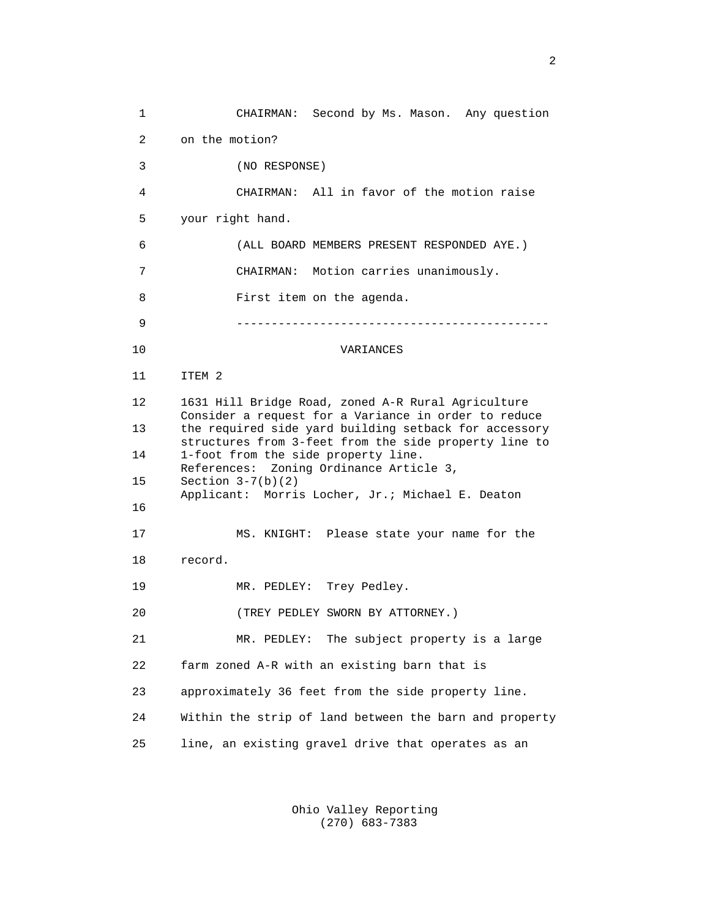1 CHAIRMAN: Second by Ms. Mason. Any question 2 on the motion? 3 (NO RESPONSE) 4 CHAIRMAN: All in favor of the motion raise 5 your right hand. 6 (ALL BOARD MEMBERS PRESENT RESPONDED AYE.) 7 CHAIRMAN: Motion carries unanimously. 8 First item on the agenda. 9 --------------------------------------------- 10 VARIANCES 11 ITEM 2 12 1631 Hill Bridge Road, zoned A-R Rural Agriculture Consider a request for a Variance in order to reduce<br>13 the required side yard building setback for accessor the required side yard building setback for accessory structures from 3-feet from the side property line to 14 1-foot from the side property line. References: Zoning Ordinance Article 3,<br>15 Section 3-7(b)(2) Section  $3-7(b)(2)$  Applicant: Morris Locher, Jr.; Michael E. Deaton 16 17 MS. KNIGHT: Please state your name for the 18 record. 19 MR. PEDLEY: Trey Pedley. 20 (TREY PEDLEY SWORN BY ATTORNEY.) 21 MR. PEDLEY: The subject property is a large 22 farm zoned A-R with an existing barn that is 23 approximately 36 feet from the side property line. 24 Within the strip of land between the barn and property 25 line, an existing gravel drive that operates as an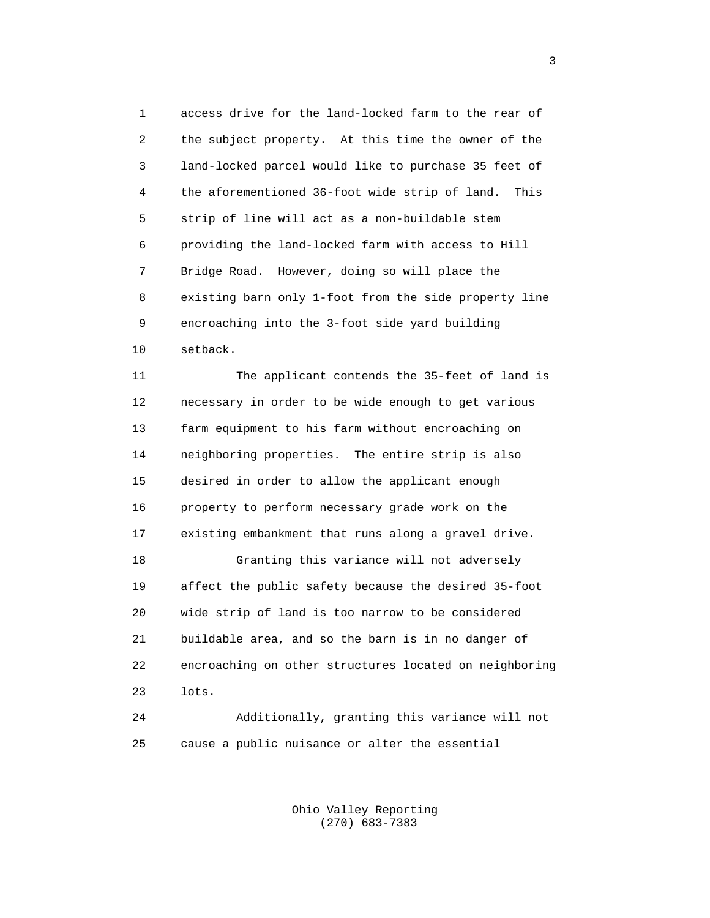1 access drive for the land-locked farm to the rear of 2 the subject property. At this time the owner of the 3 land-locked parcel would like to purchase 35 feet of 4 the aforementioned 36-foot wide strip of land. This 5 strip of line will act as a non-buildable stem 6 providing the land-locked farm with access to Hill 7 Bridge Road. However, doing so will place the 8 existing barn only 1-foot from the side property line 9 encroaching into the 3-foot side yard building 10 setback.

 11 The applicant contends the 35-feet of land is 12 necessary in order to be wide enough to get various 13 farm equipment to his farm without encroaching on 14 neighboring properties. The entire strip is also 15 desired in order to allow the applicant enough 16 property to perform necessary grade work on the 17 existing embankment that runs along a gravel drive. 18 Granting this variance will not adversely 19 affect the public safety because the desired 35-foot 20 wide strip of land is too narrow to be considered 21 buildable area, and so the barn is in no danger of 22 encroaching on other structures located on neighboring 23 lots.

 24 Additionally, granting this variance will not 25 cause a public nuisance or alter the essential

> Ohio Valley Reporting (270) 683-7383

 $\sim$  3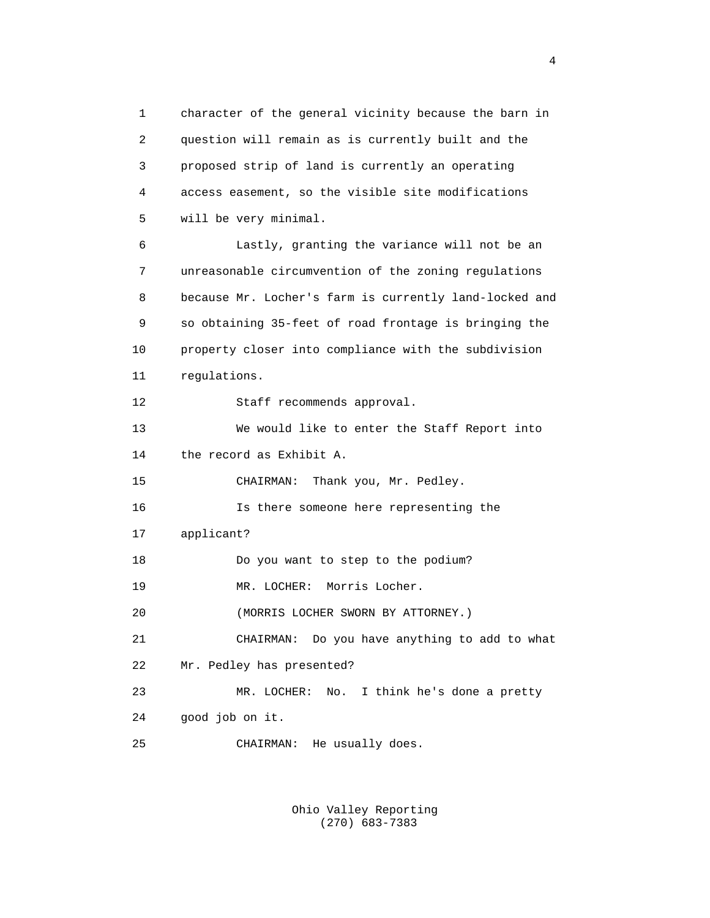1 character of the general vicinity because the barn in 2 question will remain as is currently built and the 3 proposed strip of land is currently an operating 4 access easement, so the visible site modifications 5 will be very minimal. 6 Lastly, granting the variance will not be an 7 unreasonable circumvention of the zoning regulations 8 because Mr. Locher's farm is currently land-locked and 9 so obtaining 35-feet of road frontage is bringing the 10 property closer into compliance with the subdivision 11 regulations. 12 Staff recommends approval. 13 We would like to enter the Staff Report into 14 the record as Exhibit A. 15 CHAIRMAN: Thank you, Mr. Pedley. 16 Is there someone here representing the 17 applicant? 18 Do you want to step to the podium? 19 MR. LOCHER: Morris Locher. 20 (MORRIS LOCHER SWORN BY ATTORNEY.) 21 CHAIRMAN: Do you have anything to add to what 22 Mr. Pedley has presented? 23 MR. LOCHER: No. I think he's done a pretty 24 good job on it. 25 CHAIRMAN: He usually does.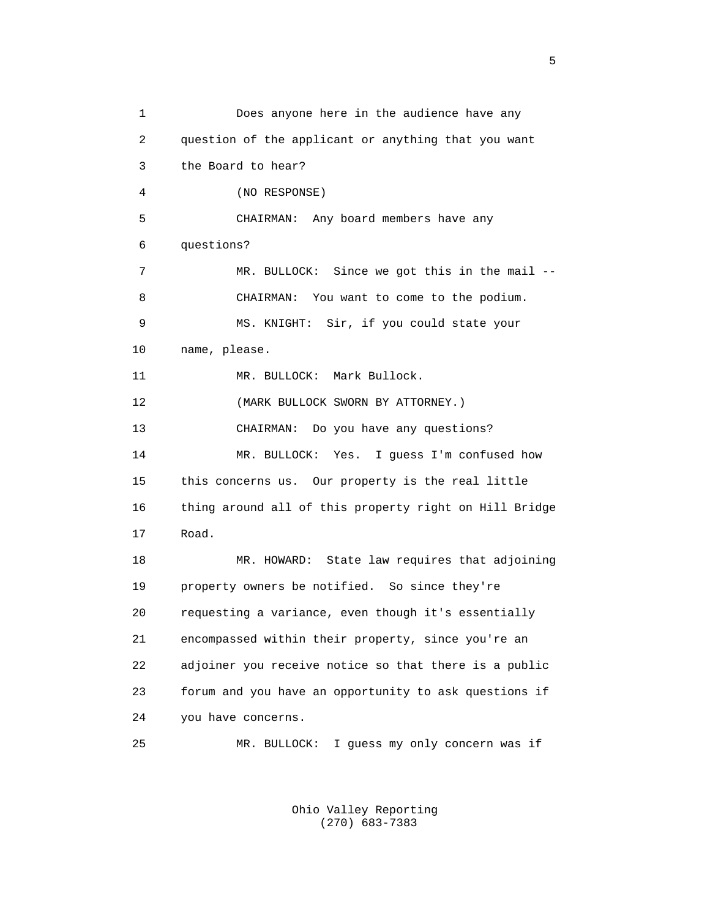1 Does anyone here in the audience have any 2 question of the applicant or anything that you want 3 the Board to hear? 4 (NO RESPONSE) 5 CHAIRMAN: Any board members have any 6 questions? 7 MR. BULLOCK: Since we got this in the mail -- 8 CHAIRMAN: You want to come to the podium. 9 MS. KNIGHT: Sir, if you could state your 10 name, please. 11 MR. BULLOCK: Mark Bullock. 12 (MARK BULLOCK SWORN BY ATTORNEY.) 13 CHAIRMAN: Do you have any questions? 14 MR. BULLOCK: Yes. I guess I'm confused how 15 this concerns us. Our property is the real little 16 thing around all of this property right on Hill Bridge 17 Road. 18 MR. HOWARD: State law requires that adjoining 19 property owners be notified. So since they're 20 requesting a variance, even though it's essentially 21 encompassed within their property, since you're an 22 adjoiner you receive notice so that there is a public 23 forum and you have an opportunity to ask questions if 24 you have concerns. 25 MR. BULLOCK: I guess my only concern was if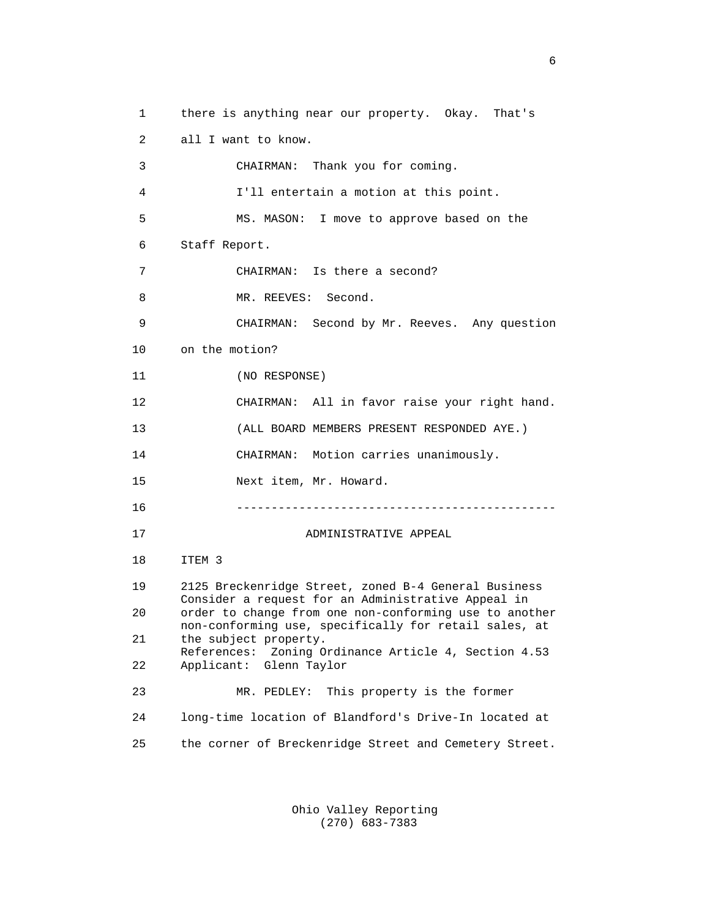1 there is anything near our property. Okay. That's 2 all I want to know. 3 CHAIRMAN: Thank you for coming. 4 I'll entertain a motion at this point. 5 MS. MASON: I move to approve based on the 6 Staff Report. 7 CHAIRMAN: Is there a second? 8 MR. REEVES: Second. 9 CHAIRMAN: Second by Mr. Reeves. Any question 10 on the motion? 11 (NO RESPONSE) 12 CHAIRMAN: All in favor raise your right hand. 13 (ALL BOARD MEMBERS PRESENT RESPONDED AYE.) 14 CHAIRMAN: Motion carries unanimously. 15 Next item, Mr. Howard. 16 ---------------------------------------------- 17 ADMINISTRATIVE APPEAL 18 ITEM 3 19 2125 Breckenridge Street, zoned B-4 General Business Consider a request for an Administrative Appeal in<br>20 order to change from one non-conforming use to ano order to change from one non-conforming use to another non-conforming use, specifically for retail sales, at<br>21 the subject property. the subject property. References: Zoning Ordinance Article 4, Section 4.53<br>22 Applicant: Glenn Taylor Applicant: Glenn Taylor 23 MR. PEDLEY: This property is the former 24 long-time location of Blandford's Drive-In located at 25 the corner of Breckenridge Street and Cemetery Street.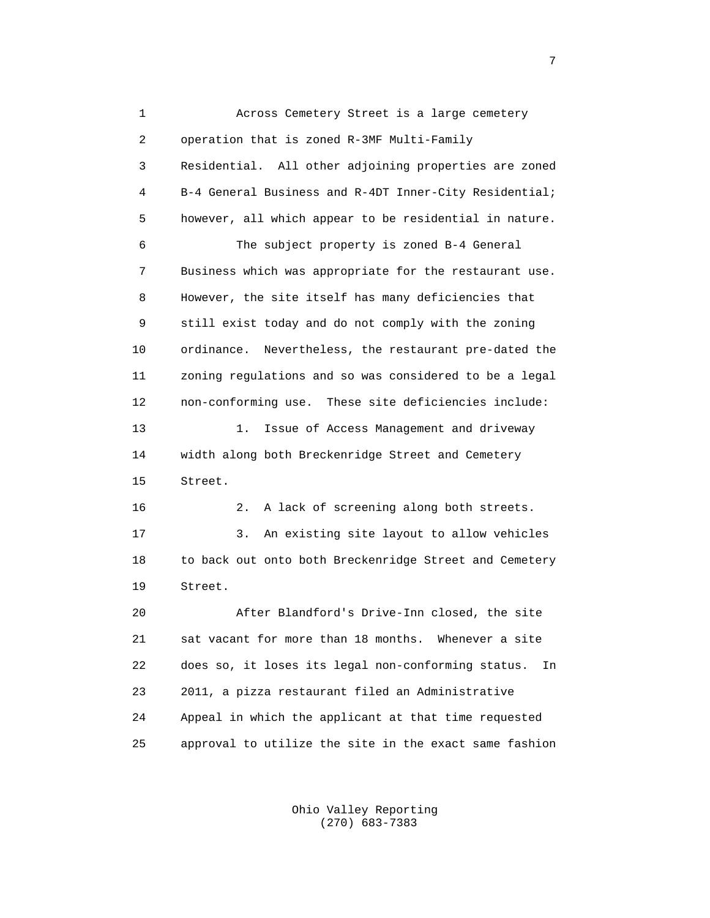1 Across Cemetery Street is a large cemetery 2 operation that is zoned R-3MF Multi-Family 3 Residential. All other adjoining properties are zoned 4 B-4 General Business and R-4DT Inner-City Residential; 5 however, all which appear to be residential in nature. 6 The subject property is zoned B-4 General 7 Business which was appropriate for the restaurant use. 8 However, the site itself has many deficiencies that 9 still exist today and do not comply with the zoning 10 ordinance. Nevertheless, the restaurant pre-dated the 11 zoning regulations and so was considered to be a legal 12 non-conforming use. These site deficiencies include: 13 1. Issue of Access Management and driveway 14 width along both Breckenridge Street and Cemetery 15 Street. 16 2. A lack of screening along both streets. 17 3. An existing site layout to allow vehicles 18 to back out onto both Breckenridge Street and Cemetery 19 Street. 20 After Blandford's Drive-Inn closed, the site 21 sat vacant for more than 18 months. Whenever a site 22 does so, it loses its legal non-conforming status. In 23 2011, a pizza restaurant filed an Administrative 24 Appeal in which the applicant at that time requested 25 approval to utilize the site in the exact same fashion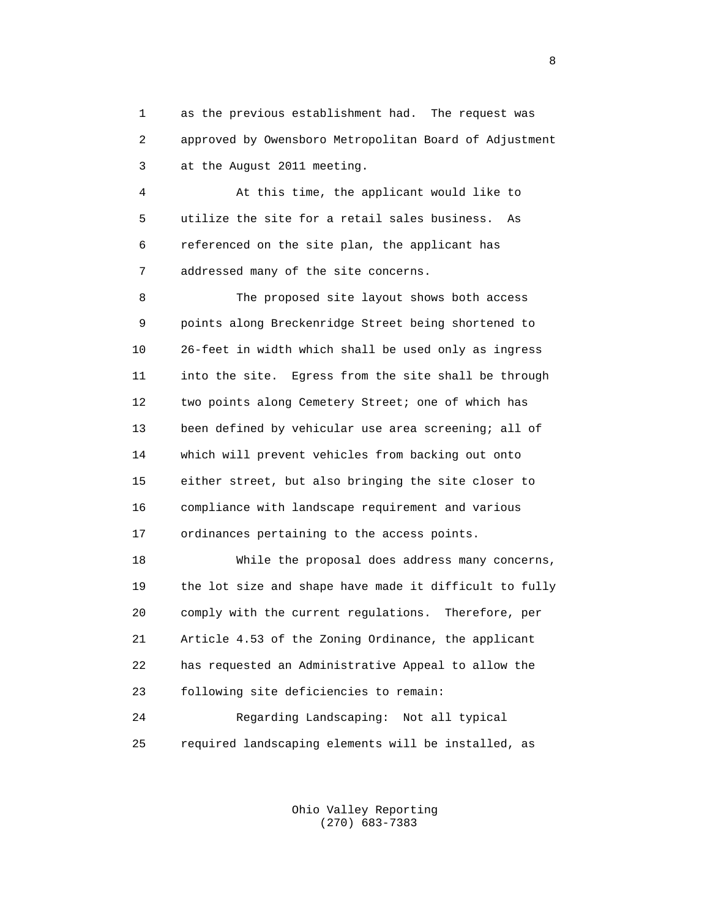1 as the previous establishment had. The request was 2 approved by Owensboro Metropolitan Board of Adjustment 3 at the August 2011 meeting.

 4 At this time, the applicant would like to 5 utilize the site for a retail sales business. As 6 referenced on the site plan, the applicant has 7 addressed many of the site concerns.

 8 The proposed site layout shows both access 9 points along Breckenridge Street being shortened to 10 26-feet in width which shall be used only as ingress 11 into the site. Egress from the site shall be through 12 two points along Cemetery Street; one of which has 13 been defined by vehicular use area screening; all of 14 which will prevent vehicles from backing out onto 15 either street, but also bringing the site closer to 16 compliance with landscape requirement and various 17 ordinances pertaining to the access points.

 18 While the proposal does address many concerns, 19 the lot size and shape have made it difficult to fully 20 comply with the current regulations. Therefore, per 21 Article 4.53 of the Zoning Ordinance, the applicant 22 has requested an Administrative Appeal to allow the 23 following site deficiencies to remain: 24 Regarding Landscaping: Not all typical

25 required landscaping elements will be installed, as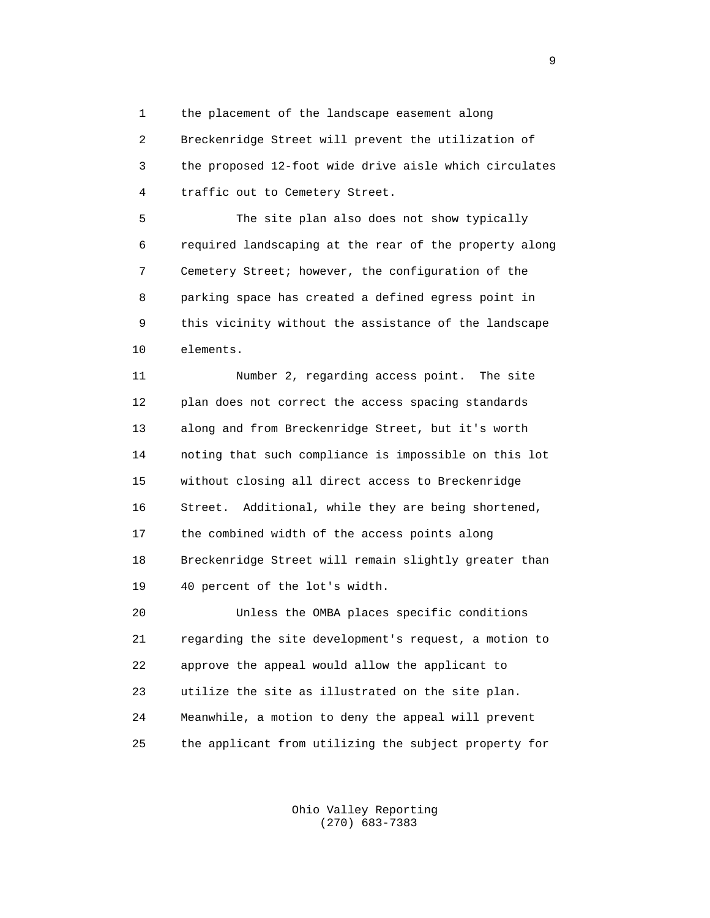1 the placement of the landscape easement along

 2 Breckenridge Street will prevent the utilization of 3 the proposed 12-foot wide drive aisle which circulates 4 traffic out to Cemetery Street.

 5 The site plan also does not show typically 6 required landscaping at the rear of the property along 7 Cemetery Street; however, the configuration of the 8 parking space has created a defined egress point in 9 this vicinity without the assistance of the landscape 10 elements.

 11 Number 2, regarding access point. The site 12 plan does not correct the access spacing standards 13 along and from Breckenridge Street, but it's worth 14 noting that such compliance is impossible on this lot 15 without closing all direct access to Breckenridge 16 Street. Additional, while they are being shortened, 17 the combined width of the access points along 18 Breckenridge Street will remain slightly greater than 19 40 percent of the lot's width.

 20 Unless the OMBA places specific conditions 21 regarding the site development's request, a motion to 22 approve the appeal would allow the applicant to 23 utilize the site as illustrated on the site plan. 24 Meanwhile, a motion to deny the appeal will prevent 25 the applicant from utilizing the subject property for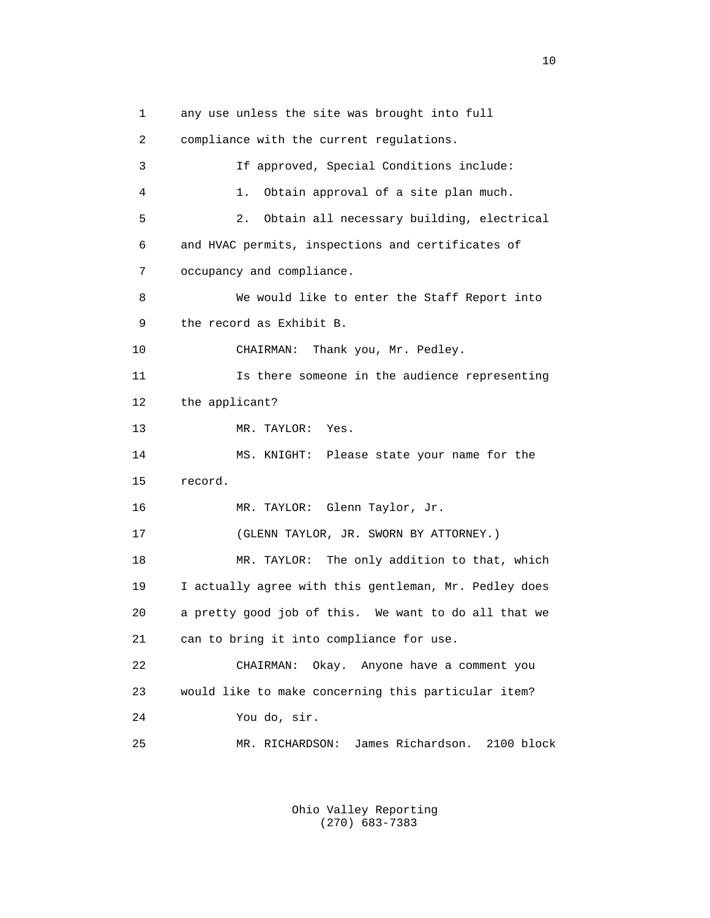1 any use unless the site was brought into full 2 compliance with the current regulations. 3 If approved, Special Conditions include: 4 1. Obtain approval of a site plan much. 5 2. Obtain all necessary building, electrical 6 and HVAC permits, inspections and certificates of 7 occupancy and compliance. 8 We would like to enter the Staff Report into 9 the record as Exhibit B. 10 CHAIRMAN: Thank you, Mr. Pedley. 11 Is there someone in the audience representing 12 the applicant? 13 MR. TAYLOR: Yes. 14 MS. KNIGHT: Please state your name for the 15 record. 16 MR. TAYLOR: Glenn Taylor, Jr. 17 (GLENN TAYLOR, JR. SWORN BY ATTORNEY.) 18 MR. TAYLOR: The only addition to that, which 19 I actually agree with this gentleman, Mr. Pedley does 20 a pretty good job of this. We want to do all that we 21 can to bring it into compliance for use. 22 CHAIRMAN: Okay. Anyone have a comment you 23 would like to make concerning this particular item? 24 You do, sir. 25 MR. RICHARDSON: James Richardson. 2100 block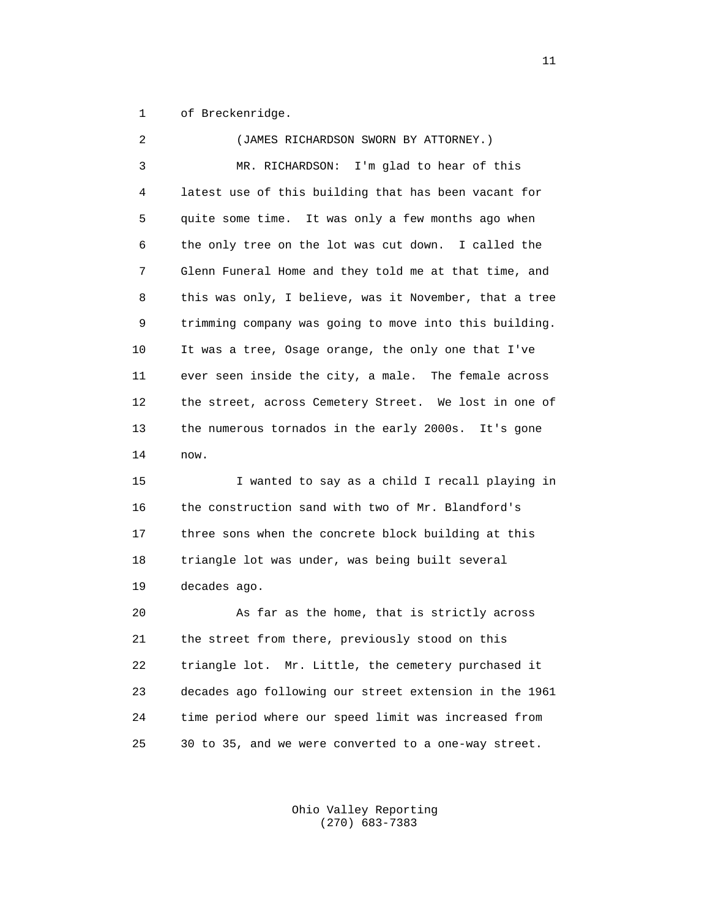1 of Breckenridge.

| 2  | (JAMES RICHARDSON SWORN BY ATTORNEY.)                  |
|----|--------------------------------------------------------|
| 3  | I'm glad to hear of this<br>MR. RICHARDSON:            |
| 4  | latest use of this building that has been vacant for   |
| 5  | quite some time. It was only a few months ago when     |
| 6  | the only tree on the lot was cut down. I called the    |
| 7  | Glenn Funeral Home and they told me at that time, and  |
| 8  | this was only, I believe, was it November, that a tree |
| 9  | trimming company was going to move into this building. |
| 10 | It was a tree, Osage orange, the only one that I've    |
| 11 | ever seen inside the city, a male. The female across   |
| 12 | the street, across Cemetery Street. We lost in one of  |
| 13 | the numerous tornados in the early 2000s.<br>It's gone |
| 14 | now.                                                   |
| 15 | I wanted to say as a child I recall playing in         |
| 16 | the construction sand with two of Mr. Blandford's      |
| 17 | three sons when the concrete block building at this    |
| 18 | triangle lot was under, was being built several        |
| 19 | decades ago.                                           |
| 20 | As far as the home, that is strictly across            |
| 21 | the street from there, previously stood on this        |
| 22 | triangle lot. Mr. Little, the cemetery purchased it    |
| 23 | decades ago following our street extension in the 1961 |
| 24 | time period where our speed limit was increased from   |

 Ohio Valley Reporting (270) 683-7383

25 30 to 35, and we were converted to a one-way street.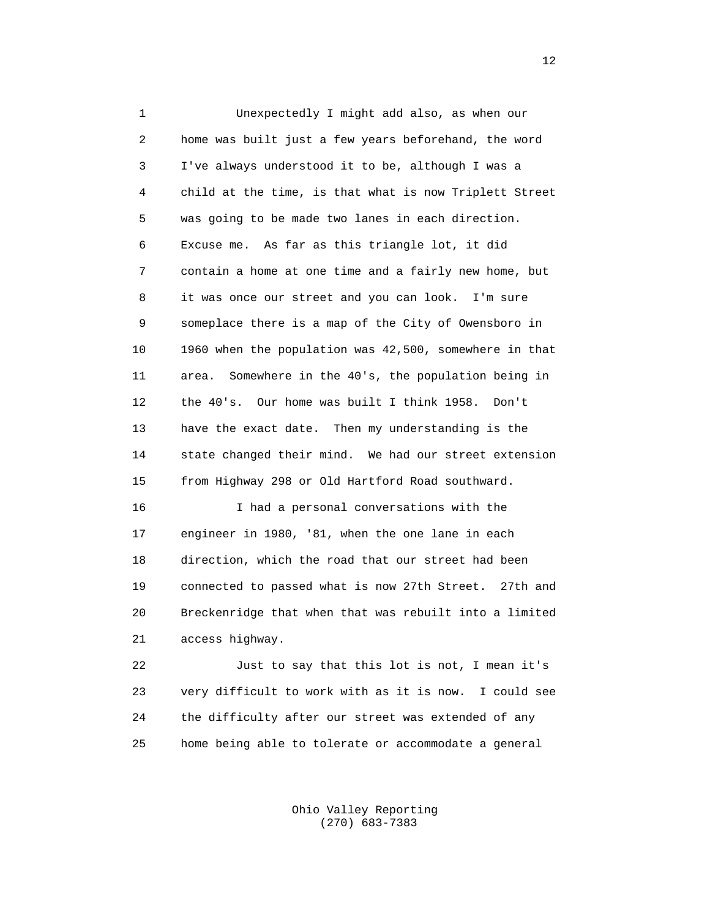1 Unexpectedly I might add also, as when our 2 home was built just a few years beforehand, the word 3 I've always understood it to be, although I was a 4 child at the time, is that what is now Triplett Street 5 was going to be made two lanes in each direction. 6 Excuse me. As far as this triangle lot, it did 7 contain a home at one time and a fairly new home, but 8 it was once our street and you can look. I'm sure 9 someplace there is a map of the City of Owensboro in 10 1960 when the population was 42,500, somewhere in that 11 area. Somewhere in the 40's, the population being in 12 the 40's. Our home was built I think 1958. Don't 13 have the exact date. Then my understanding is the 14 state changed their mind. We had our street extension 15 from Highway 298 or Old Hartford Road southward. 16 I had a personal conversations with the 17 engineer in 1980, '81, when the one lane in each 18 direction, which the road that our street had been

 19 connected to passed what is now 27th Street. 27th and 20 Breckenridge that when that was rebuilt into a limited 21 access highway.

 22 Just to say that this lot is not, I mean it's 23 very difficult to work with as it is now. I could see 24 the difficulty after our street was extended of any 25 home being able to tolerate or accommodate a general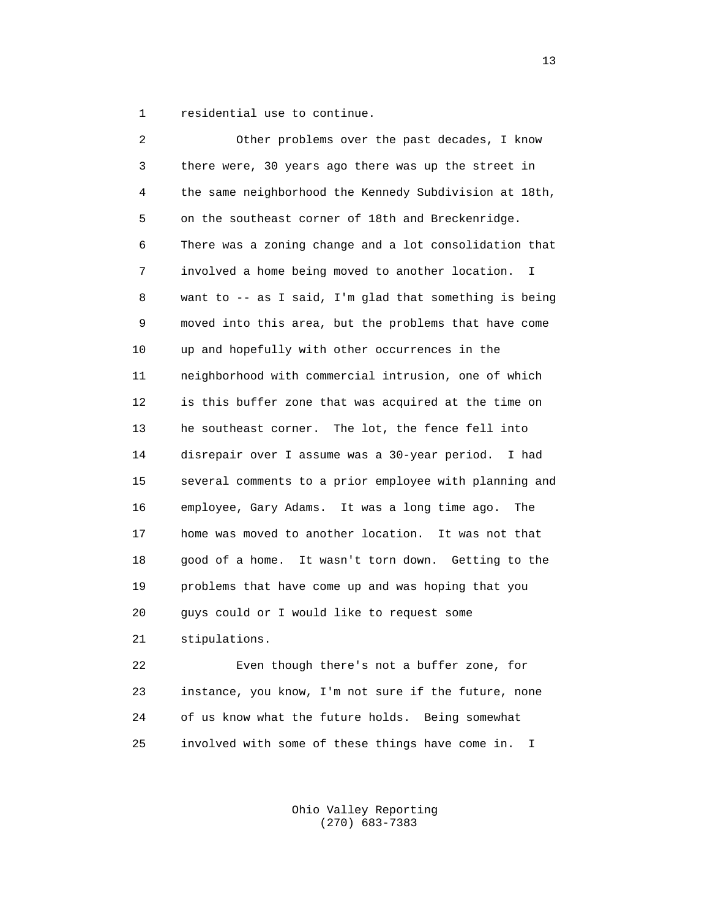1 residential use to continue.

 2 Other problems over the past decades, I know 3 there were, 30 years ago there was up the street in 4 the same neighborhood the Kennedy Subdivision at 18th, 5 on the southeast corner of 18th and Breckenridge. 6 There was a zoning change and a lot consolidation that 7 involved a home being moved to another location. I 8 want to -- as I said, I'm glad that something is being 9 moved into this area, but the problems that have come 10 up and hopefully with other occurrences in the 11 neighborhood with commercial intrusion, one of which 12 is this buffer zone that was acquired at the time on 13 he southeast corner. The lot, the fence fell into 14 disrepair over I assume was a 30-year period. I had 15 several comments to a prior employee with planning and 16 employee, Gary Adams. It was a long time ago. The 17 home was moved to another location. It was not that 18 good of a home. It wasn't torn down. Getting to the 19 problems that have come up and was hoping that you 20 guys could or I would like to request some 21 stipulations.

 22 Even though there's not a buffer zone, for 23 instance, you know, I'm not sure if the future, none 24 of us know what the future holds. Being somewhat 25 involved with some of these things have come in. I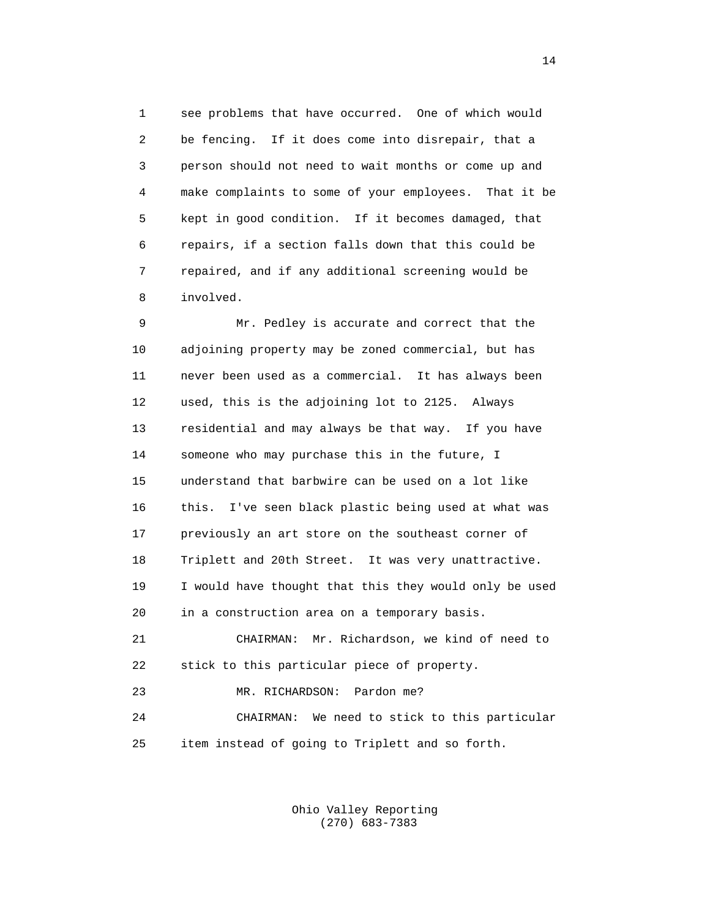1 see problems that have occurred. One of which would 2 be fencing. If it does come into disrepair, that a 3 person should not need to wait months or come up and 4 make complaints to some of your employees. That it be 5 kept in good condition. If it becomes damaged, that 6 repairs, if a section falls down that this could be 7 repaired, and if any additional screening would be 8 involved.

 9 Mr. Pedley is accurate and correct that the 10 adjoining property may be zoned commercial, but has 11 never been used as a commercial. It has always been 12 used, this is the adjoining lot to 2125. Always 13 residential and may always be that way. If you have 14 someone who may purchase this in the future, I 15 understand that barbwire can be used on a lot like 16 this. I've seen black plastic being used at what was 17 previously an art store on the southeast corner of 18 Triplett and 20th Street. It was very unattractive. 19 I would have thought that this they would only be used 20 in a construction area on a temporary basis. 21 CHAIRMAN: Mr. Richardson, we kind of need to 22 stick to this particular piece of property. 23 MR. RICHARDSON: Pardon me? 24 CHAIRMAN: We need to stick to this particular

25 item instead of going to Triplett and so forth.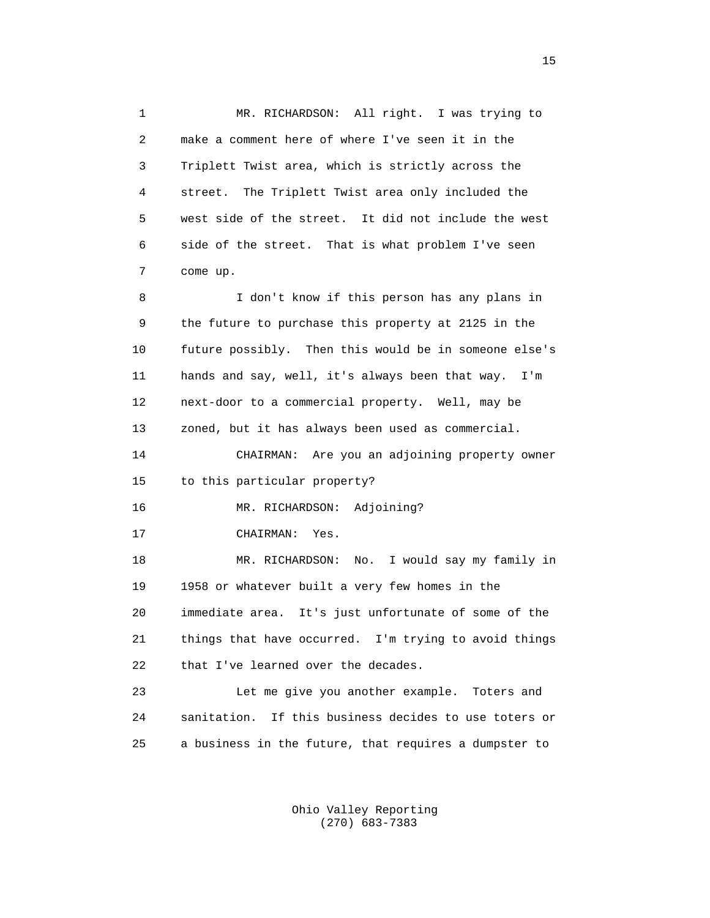1 MR. RICHARDSON: All right. I was trying to 2 make a comment here of where I've seen it in the 3 Triplett Twist area, which is strictly across the 4 street. The Triplett Twist area only included the 5 west side of the street. It did not include the west 6 side of the street. That is what problem I've seen 7 come up. 8 I don't know if this person has any plans in 9 the future to purchase this property at 2125 in the 10 future possibly. Then this would be in someone else's 11 hands and say, well, it's always been that way. I'm 12 next-door to a commercial property. Well, may be 13 zoned, but it has always been used as commercial. 14 CHAIRMAN: Are you an adjoining property owner 15 to this particular property? 16 MR. RICHARDSON: Adjoining? 17 CHAIRMAN: Yes. 18 MR. RICHARDSON: No. I would say my family in 19 1958 or whatever built a very few homes in the 20 immediate area. It's just unfortunate of some of the 21 things that have occurred. I'm trying to avoid things 22 that I've learned over the decades. 23 Let me give you another example. Toters and 24 sanitation. If this business decides to use toters or 25 a business in the future, that requires a dumpster to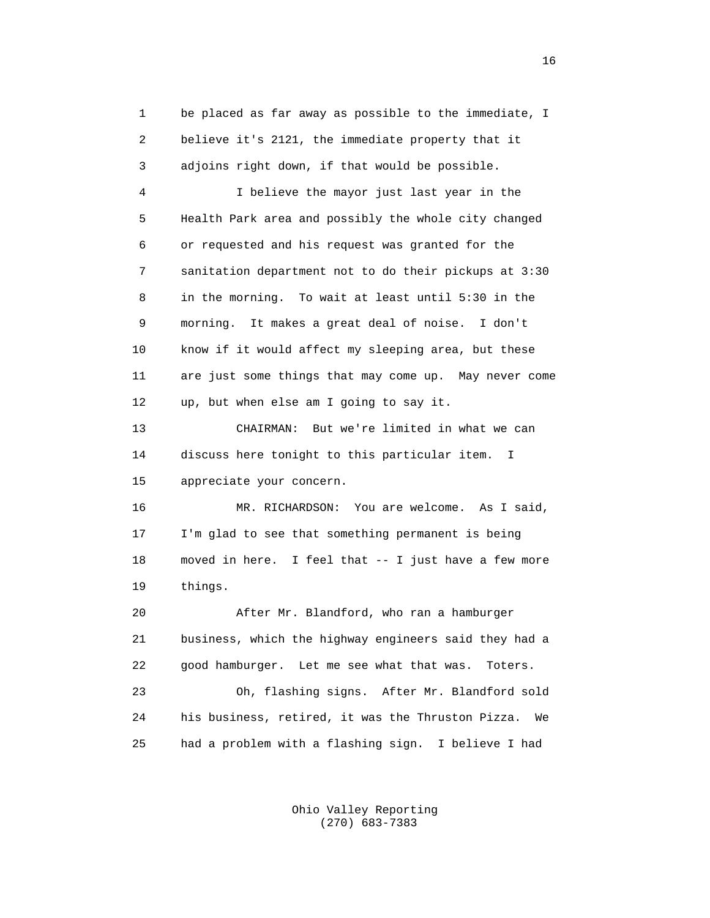1 be placed as far away as possible to the immediate, I 2 believe it's 2121, the immediate property that it 3 adjoins right down, if that would be possible.

 4 I believe the mayor just last year in the 5 Health Park area and possibly the whole city changed 6 or requested and his request was granted for the 7 sanitation department not to do their pickups at 3:30 8 in the morning. To wait at least until 5:30 in the 9 morning. It makes a great deal of noise. I don't 10 know if it would affect my sleeping area, but these 11 are just some things that may come up. May never come 12 up, but when else am I going to say it.

 13 CHAIRMAN: But we're limited in what we can 14 discuss here tonight to this particular item. I 15 appreciate your concern.

 16 MR. RICHARDSON: You are welcome. As I said, 17 I'm glad to see that something permanent is being 18 moved in here. I feel that -- I just have a few more 19 things.

 20 After Mr. Blandford, who ran a hamburger 21 business, which the highway engineers said they had a 22 good hamburger. Let me see what that was. Toters.

 23 Oh, flashing signs. After Mr. Blandford sold 24 his business, retired, it was the Thruston Pizza. We 25 had a problem with a flashing sign. I believe I had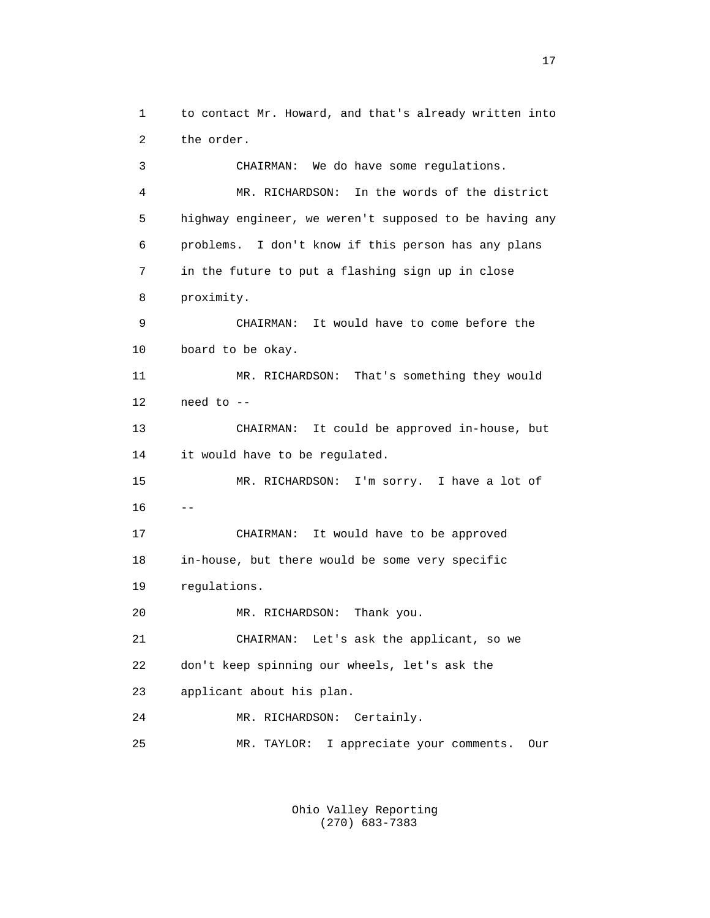1 to contact Mr. Howard, and that's already written into 2 the order. 3 CHAIRMAN: We do have some regulations. 4 MR. RICHARDSON: In the words of the district 5 highway engineer, we weren't supposed to be having any 6 problems. I don't know if this person has any plans 7 in the future to put a flashing sign up in close 8 proximity. 9 CHAIRMAN: It would have to come before the 10 board to be okay. 11 MR. RICHARDSON: That's something they would 12 need to -- 13 CHAIRMAN: It could be approved in-house, but 14 it would have to be regulated. 15 MR. RICHARDSON: I'm sorry. I have a lot of  $16$  -- 17 CHAIRMAN: It would have to be approved 18 in-house, but there would be some very specific 19 regulations. 20 MR. RICHARDSON: Thank you. 21 CHAIRMAN: Let's ask the applicant, so we 22 don't keep spinning our wheels, let's ask the 23 applicant about his plan. 24 MR. RICHARDSON: Certainly. 25 MR. TAYLOR: I appreciate your comments. Our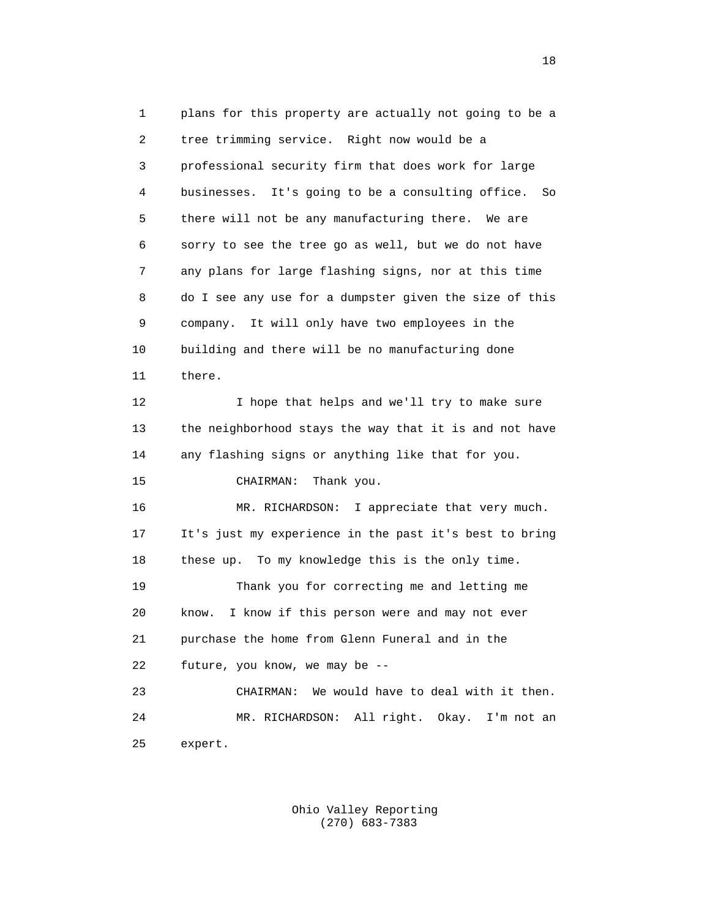1 plans for this property are actually not going to be a 2 tree trimming service. Right now would be a 3 professional security firm that does work for large 4 businesses. It's going to be a consulting office. So 5 there will not be any manufacturing there. We are 6 sorry to see the tree go as well, but we do not have 7 any plans for large flashing signs, nor at this time 8 do I see any use for a dumpster given the size of this 9 company. It will only have two employees in the 10 building and there will be no manufacturing done 11 there. 12 I hope that helps and we'll try to make sure 13 the neighborhood stays the way that it is and not have 14 any flashing signs or anything like that for you. 15 CHAIRMAN: Thank you. 16 MR. RICHARDSON: I appreciate that very much. 17 It's just my experience in the past it's best to bring 18 these up. To my knowledge this is the only time. 19 Thank you for correcting me and letting me 20 know. I know if this person were and may not ever 21 purchase the home from Glenn Funeral and in the 22 future, you know, we may be -- 23 CHAIRMAN: We would have to deal with it then. 24 MR. RICHARDSON: All right. Okay. I'm not an 25 expert.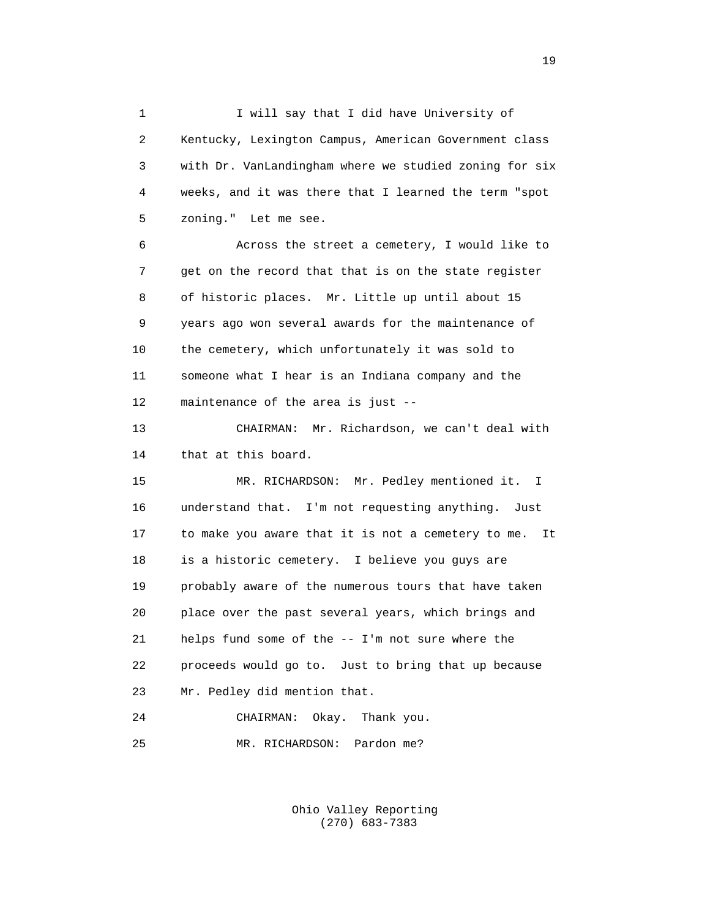1 I will say that I did have University of 2 Kentucky, Lexington Campus, American Government class 3 with Dr. VanLandingham where we studied zoning for six 4 weeks, and it was there that I learned the term "spot 5 zoning." Let me see.

 6 Across the street a cemetery, I would like to 7 get on the record that that is on the state register 8 of historic places. Mr. Little up until about 15 9 years ago won several awards for the maintenance of 10 the cemetery, which unfortunately it was sold to 11 someone what I hear is an Indiana company and the 12 maintenance of the area is just --

 13 CHAIRMAN: Mr. Richardson, we can't deal with 14 that at this board.

 15 MR. RICHARDSON: Mr. Pedley mentioned it. I 16 understand that. I'm not requesting anything. Just 17 to make you aware that it is not a cemetery to me. It 18 is a historic cemetery. I believe you guys are 19 probably aware of the numerous tours that have taken 20 place over the past several years, which brings and 21 helps fund some of the -- I'm not sure where the 22 proceeds would go to. Just to bring that up because 23 Mr. Pedley did mention that. 24 CHAIRMAN: Okay. Thank you.

25 MR. RICHARDSON: Pardon me?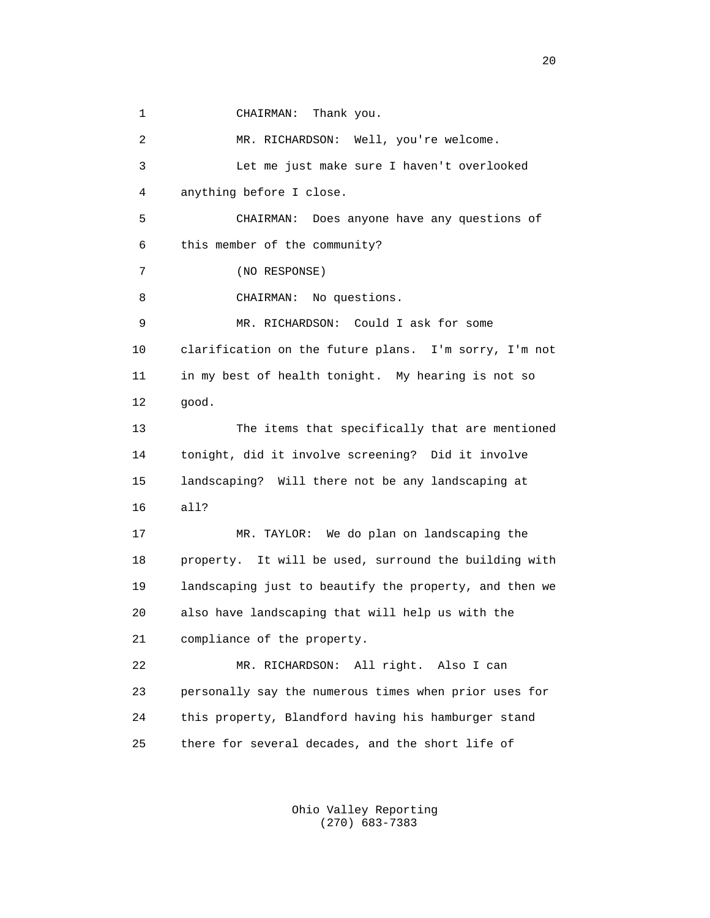1 CHAIRMAN: Thank you.

 2 MR. RICHARDSON: Well, you're welcome. 3 Let me just make sure I haven't overlooked 4 anything before I close. 5 CHAIRMAN: Does anyone have any questions of 6 this member of the community? 7 (NO RESPONSE) 8 CHAIRMAN: No questions. 9 MR. RICHARDSON: Could I ask for some 10 clarification on the future plans. I'm sorry, I'm not 11 in my best of health tonight. My hearing is not so 12 good. 13 The items that specifically that are mentioned 14 tonight, did it involve screening? Did it involve 15 landscaping? Will there not be any landscaping at 16 all? 17 MR. TAYLOR: We do plan on landscaping the 18 property. It will be used, surround the building with 19 landscaping just to beautify the property, and then we 20 also have landscaping that will help us with the 21 compliance of the property. 22 MR. RICHARDSON: All right. Also I can 23 personally say the numerous times when prior uses for 24 this property, Blandford having his hamburger stand 25 there for several decades, and the short life of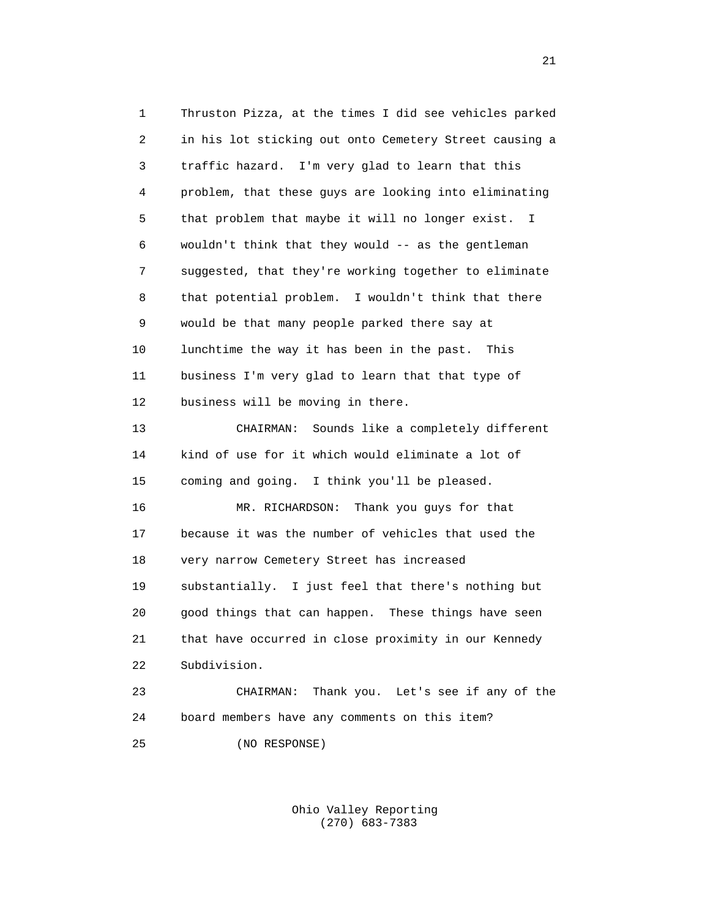1 Thruston Pizza, at the times I did see vehicles parked 2 in his lot sticking out onto Cemetery Street causing a 3 traffic hazard. I'm very glad to learn that this 4 problem, that these guys are looking into eliminating 5 that problem that maybe it will no longer exist. I 6 wouldn't think that they would -- as the gentleman 7 suggested, that they're working together to eliminate 8 that potential problem. I wouldn't think that there 9 would be that many people parked there say at 10 lunchtime the way it has been in the past. This 11 business I'm very glad to learn that that type of 12 business will be moving in there. 13 CHAIRMAN: Sounds like a completely different 14 kind of use for it which would eliminate a lot of 15 coming and going. I think you'll be pleased. 16 MR. RICHARDSON: Thank you guys for that 17 because it was the number of vehicles that used the 18 very narrow Cemetery Street has increased 19 substantially. I just feel that there's nothing but 20 good things that can happen. These things have seen 21 that have occurred in close proximity in our Kennedy 22 Subdivision. 23 CHAIRMAN: Thank you. Let's see if any of the 24 board members have any comments on this item?

25 (NO RESPONSE)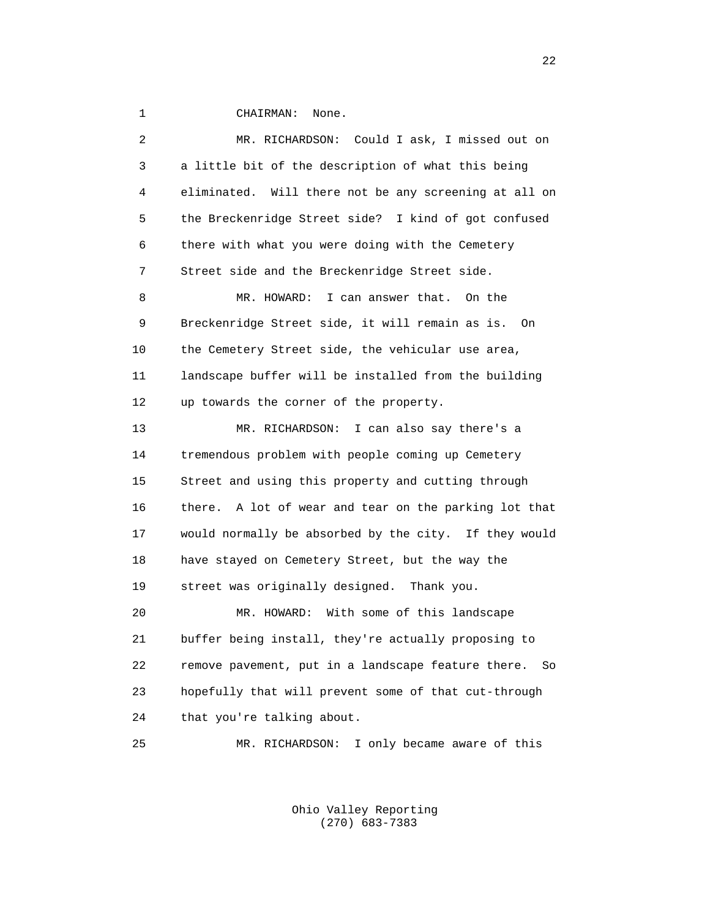1 CHAIRMAN: None.

 2 MR. RICHARDSON: Could I ask, I missed out on 3 a little bit of the description of what this being 4 eliminated. Will there not be any screening at all on 5 the Breckenridge Street side? I kind of got confused 6 there with what you were doing with the Cemetery 7 Street side and the Breckenridge Street side. 8 MR. HOWARD: I can answer that. On the 9 Breckenridge Street side, it will remain as is. On 10 the Cemetery Street side, the vehicular use area, 11 landscape buffer will be installed from the building 12 up towards the corner of the property. 13 MR. RICHARDSON: I can also say there's a 14 tremendous problem with people coming up Cemetery 15 Street and using this property and cutting through 16 there. A lot of wear and tear on the parking lot that 17 would normally be absorbed by the city. If they would 18 have stayed on Cemetery Street, but the way the 19 street was originally designed. Thank you. 20 MR. HOWARD: With some of this landscape 21 buffer being install, they're actually proposing to 22 remove pavement, put in a landscape feature there. So 23 hopefully that will prevent some of that cut-through 24 that you're talking about. 25 MR. RICHARDSON: I only became aware of this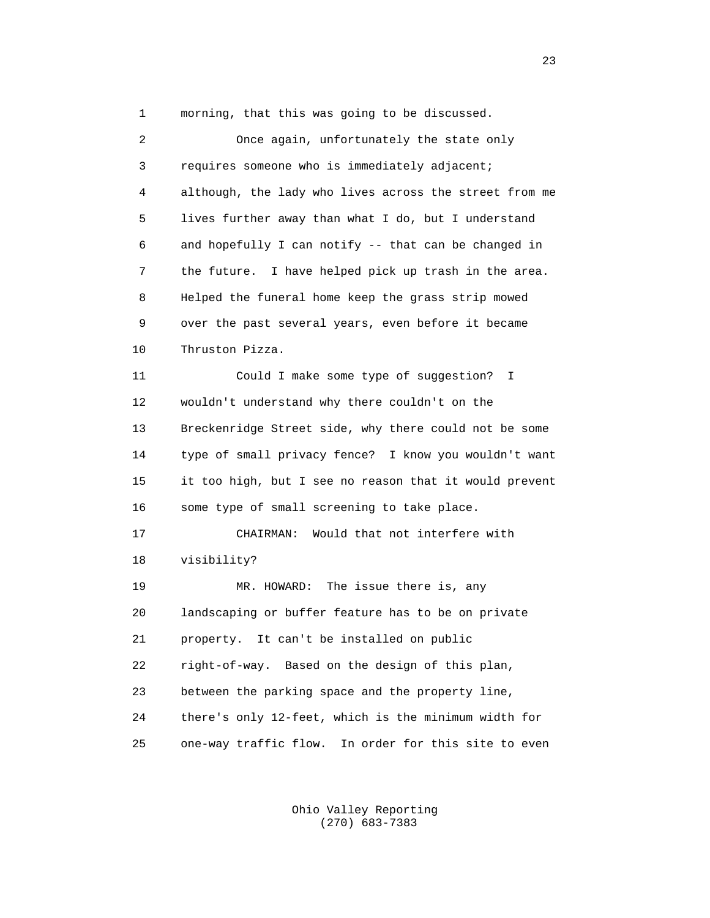1 morning, that this was going to be discussed.

 2 Once again, unfortunately the state only 3 requires someone who is immediately adjacent; 4 although, the lady who lives across the street from me 5 lives further away than what I do, but I understand 6 and hopefully I can notify -- that can be changed in 7 the future. I have helped pick up trash in the area. 8 Helped the funeral home keep the grass strip mowed 9 over the past several years, even before it became 10 Thruston Pizza. 11 Could I make some type of suggestion? I 12 wouldn't understand why there couldn't on the 13 Breckenridge Street side, why there could not be some 14 type of small privacy fence? I know you wouldn't want 15 it too high, but I see no reason that it would prevent 16 some type of small screening to take place. 17 CHAIRMAN: Would that not interfere with 18 visibility? 19 MR. HOWARD: The issue there is, any 20 landscaping or buffer feature has to be on private 21 property. It can't be installed on public 22 right-of-way. Based on the design of this plan, 23 between the parking space and the property line, 24 there's only 12-feet, which is the minimum width for 25 one-way traffic flow. In order for this site to even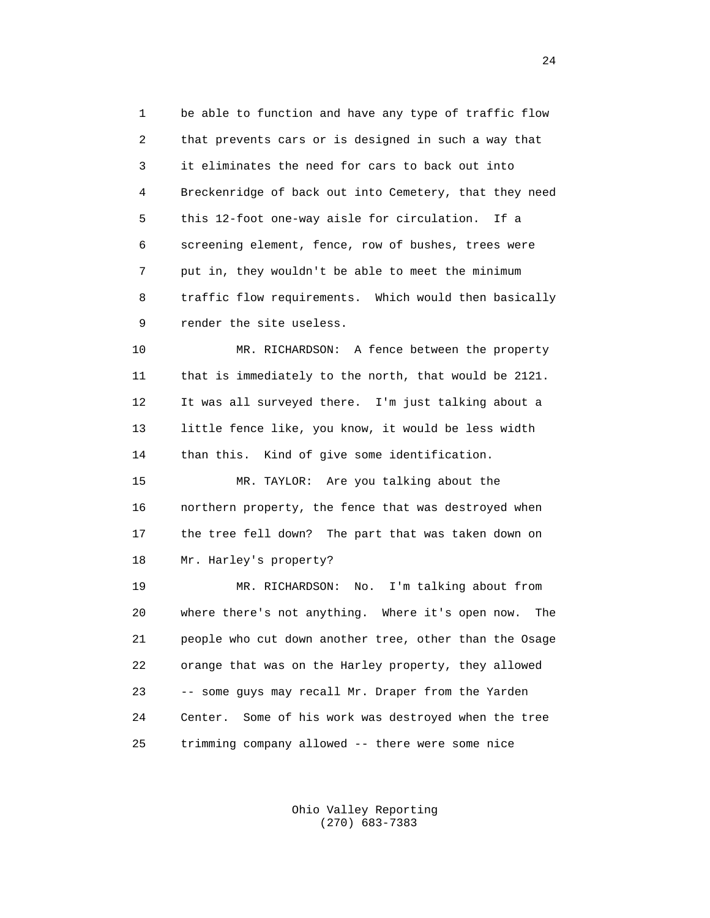1 be able to function and have any type of traffic flow 2 that prevents cars or is designed in such a way that 3 it eliminates the need for cars to back out into 4 Breckenridge of back out into Cemetery, that they need 5 this 12-foot one-way aisle for circulation. If a 6 screening element, fence, row of bushes, trees were 7 put in, they wouldn't be able to meet the minimum 8 traffic flow requirements. Which would then basically 9 render the site useless.

 10 MR. RICHARDSON: A fence between the property 11 that is immediately to the north, that would be 2121. 12 It was all surveyed there. I'm just talking about a 13 little fence like, you know, it would be less width 14 than this. Kind of give some identification.

 15 MR. TAYLOR: Are you talking about the 16 northern property, the fence that was destroyed when 17 the tree fell down? The part that was taken down on 18 Mr. Harley's property?

 19 MR. RICHARDSON: No. I'm talking about from 20 where there's not anything. Where it's open now. The 21 people who cut down another tree, other than the Osage 22 orange that was on the Harley property, they allowed 23 -- some guys may recall Mr. Draper from the Yarden 24 Center. Some of his work was destroyed when the tree 25 trimming company allowed -- there were some nice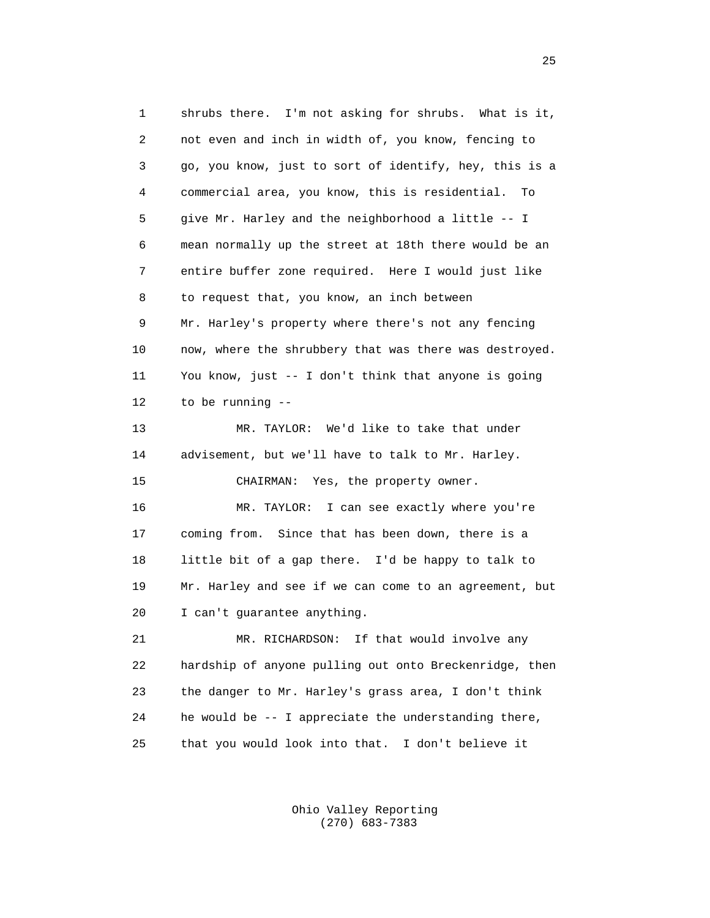1 shrubs there. I'm not asking for shrubs. What is it, 2 not even and inch in width of, you know, fencing to 3 go, you know, just to sort of identify, hey, this is a 4 commercial area, you know, this is residential. To 5 give Mr. Harley and the neighborhood a little -- I 6 mean normally up the street at 18th there would be an 7 entire buffer zone required. Here I would just like 8 to request that, you know, an inch between 9 Mr. Harley's property where there's not any fencing 10 now, where the shrubbery that was there was destroyed. 11 You know, just -- I don't think that anyone is going 12 to be running -- 13 MR. TAYLOR: We'd like to take that under 14 advisement, but we'll have to talk to Mr. Harley. 15 CHAIRMAN: Yes, the property owner. 16 MR. TAYLOR: I can see exactly where you're 17 coming from. Since that has been down, there is a 18 little bit of a gap there. I'd be happy to talk to 19 Mr. Harley and see if we can come to an agreement, but 20 I can't guarantee anything. 21 MR. RICHARDSON: If that would involve any 22 hardship of anyone pulling out onto Breckenridge, then 23 the danger to Mr. Harley's grass area, I don't think 24 he would be -- I appreciate the understanding there, 25 that you would look into that. I don't believe it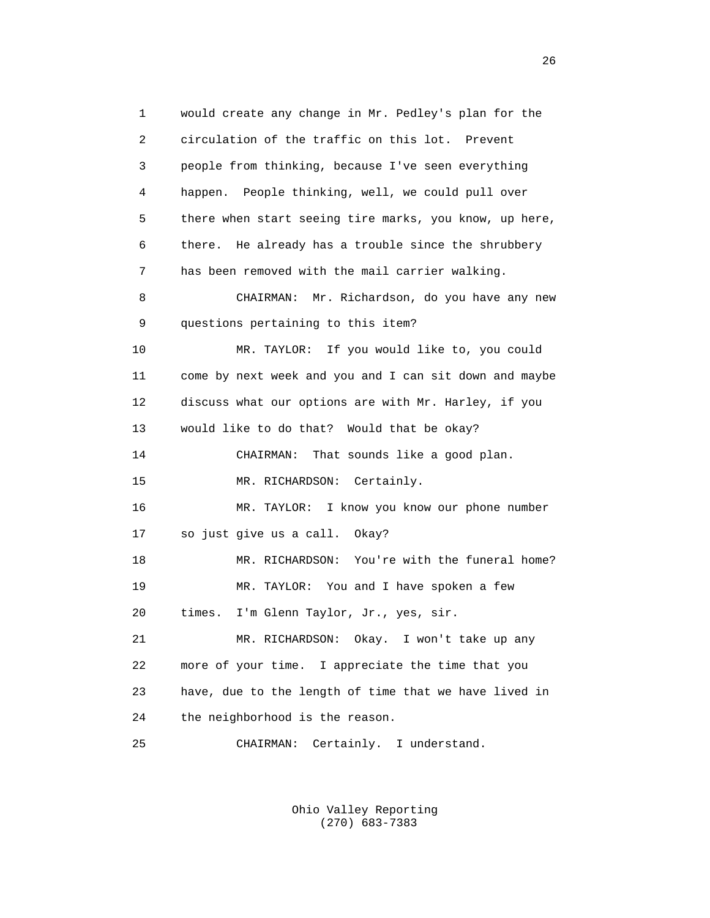1 would create any change in Mr. Pedley's plan for the 2 circulation of the traffic on this lot. Prevent 3 people from thinking, because I've seen everything 4 happen. People thinking, well, we could pull over 5 there when start seeing tire marks, you know, up here, 6 there. He already has a trouble since the shrubbery 7 has been removed with the mail carrier walking. 8 CHAIRMAN: Mr. Richardson, do you have any new 9 questions pertaining to this item? 10 MR. TAYLOR: If you would like to, you could 11 come by next week and you and I can sit down and maybe 12 discuss what our options are with Mr. Harley, if you 13 would like to do that? Would that be okay? 14 CHAIRMAN: That sounds like a good plan. 15 MR. RICHARDSON: Certainly. 16 MR. TAYLOR: I know you know our phone number 17 so just give us a call. Okay? 18 MR. RICHARDSON: You're with the funeral home? 19 MR. TAYLOR: You and I have spoken a few 20 times. I'm Glenn Taylor, Jr., yes, sir. 21 MR. RICHARDSON: Okay. I won't take up any 22 more of your time. I appreciate the time that you 23 have, due to the length of time that we have lived in 24 the neighborhood is the reason. 25 CHAIRMAN: Certainly. I understand.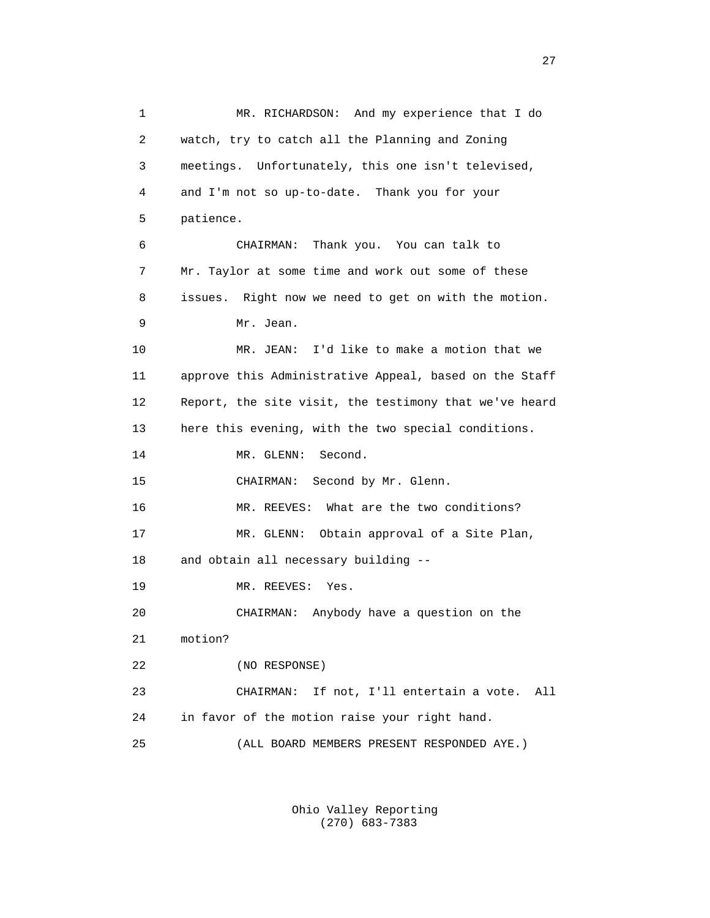1 MR. RICHARDSON: And my experience that I do 2 watch, try to catch all the Planning and Zoning 3 meetings. Unfortunately, this one isn't televised, 4 and I'm not so up-to-date. Thank you for your 5 patience. 6 CHAIRMAN: Thank you. You can talk to 7 Mr. Taylor at some time and work out some of these 8 issues. Right now we need to get on with the motion. 9 Mr. Jean. 10 MR. JEAN: I'd like to make a motion that we 11 approve this Administrative Appeal, based on the Staff 12 Report, the site visit, the testimony that we've heard 13 here this evening, with the two special conditions. 14 MR. GLENN: Second. 15 CHAIRMAN: Second by Mr. Glenn. 16 MR. REEVES: What are the two conditions? 17 MR. GLENN: Obtain approval of a Site Plan, 18 and obtain all necessary building -- 19 MR. REEVES: Yes. 20 CHAIRMAN: Anybody have a question on the 21 motion? 22 (NO RESPONSE) 23 CHAIRMAN: If not, I'll entertain a vote. All 24 in favor of the motion raise your right hand. 25 (ALL BOARD MEMBERS PRESENT RESPONDED AYE.)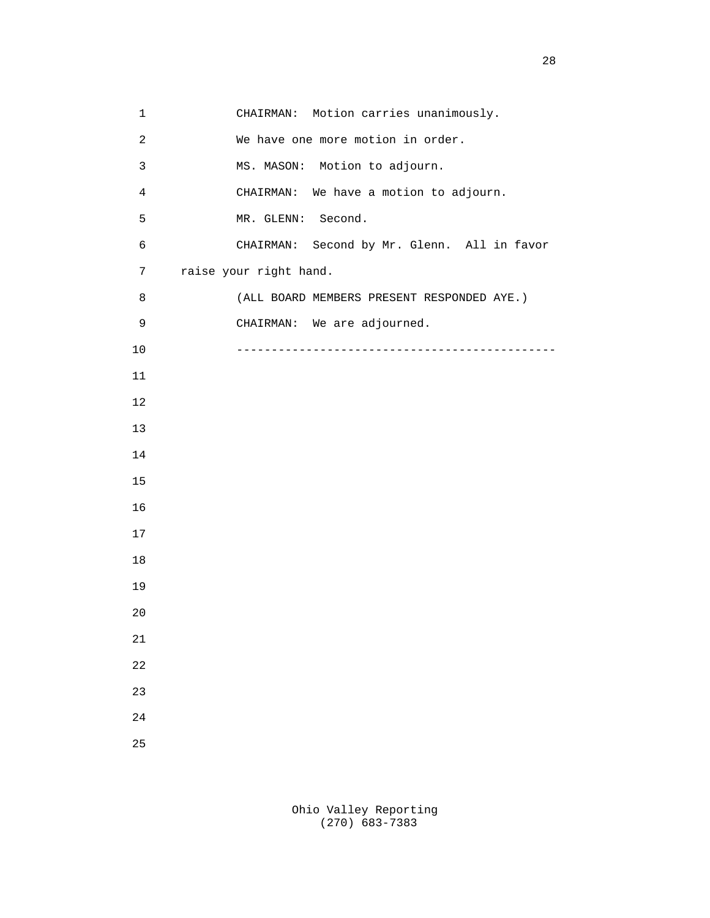1 CHAIRMAN: Motion carries unanimously. 2 We have one more motion in order. 3 MS. MASON: Motion to adjourn. 4 CHAIRMAN: We have a motion to adjourn. 5 MR. GLENN: Second. 6 CHAIRMAN: Second by Mr. Glenn. All in favor 7 raise your right hand. 8 (ALL BOARD MEMBERS PRESENT RESPONDED AYE.) 9 CHAIRMAN: We are adjourned. 10 ---------------------------------------------- 11 12 13 14 15 16 17 18 19 20 21 22 23 24 25